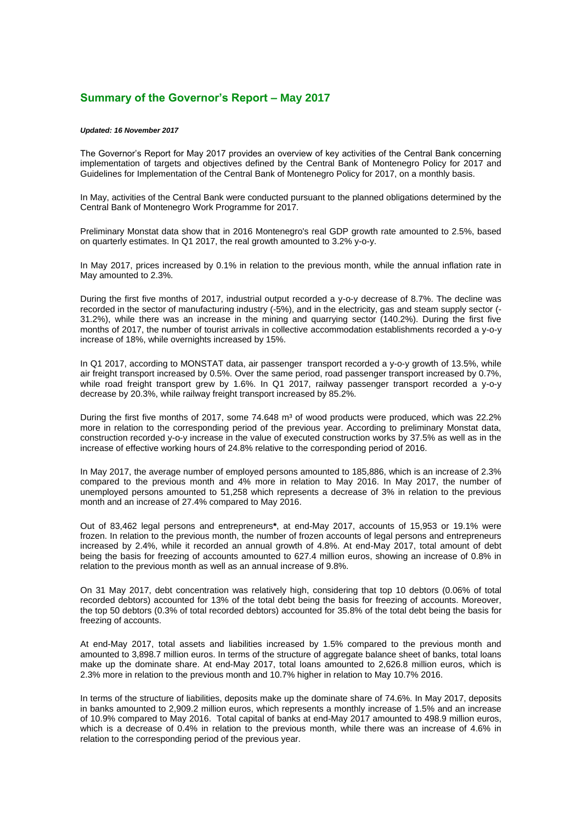## **Summary of the Governor's Report – May 2017**

## *Updated: 16 November 2017*

The Governor's Report for May 2017 provides an overview of key activities of the Central Bank concerning implementation of targets and objectives defined by the Central Bank of Montenegro Policy for 2017 and Guidelines for Implementation of the Central Bank of Montenegro Policy for 2017, on a monthly basis.

In May, activities of the Central Bank were conducted pursuant to the planned obligations determined by the Central Bank of Montenegro Work Programme for 2017.

Preliminary Monstat data show that in 2016 Montenegro's real GDP growth rate amounted to 2.5%, based on quarterly estimates. In Q1 2017, the real growth amounted to 3.2% y-o-y.

In May 2017, prices increased by 0.1% in relation to the previous month, while the annual inflation rate in May amounted to 2.3%.

During the first five months of 2017, industrial output recorded a y-o-y decrease of 8.7%. The decline was recorded in the sector of manufacturing industry (-5%), and in the electricity, gas and steam supply sector (- 31.2%), while there was an increase in the mining and quarrying sector (140.2%). During the first five months of 2017, the number of tourist arrivals in collective accommodation establishments recorded a y-o-y increase of 18%, while overnights increased by 15%.

In Q1 2017, according to MONSTAT data, air passenger transport recorded a y-o-y growth of 13.5%, while air freight transport increased by 0.5%. Over the same period, road passenger transport increased by 0.7%, while road freight transport grew by 1.6%. In Q1 2017, railway passenger transport recorded a y-o-y decrease by 20.3%, while railway freight transport increased by 85.2%.

During the first five months of 2017, some 74.648 m<sup>3</sup> of wood products were produced, which was 22.2% more in relation to the corresponding period of the previous year. According to preliminary Monstat data, construction recorded y-o-y increase in the value of executed construction works by 37.5% as well as in the increase of effective working hours of 24.8% relative to the corresponding period of 2016.

In May 2017, the average number of employed persons amounted to 185,886, which is an increase of 2.3% compared to the previous month and 4% more in relation to May 2016. In May 2017, the number of unemployed persons amounted to 51,258 which represents a decrease of 3% in relation to the previous month and an increase of 27.4% compared to May 2016.

Out of 83,462 legal persons and entrepreneurs**\***, at end-May 2017, accounts of 15,953 or 19.1% were frozen. In relation to the previous month, the number of frozen accounts of legal persons and entrepreneurs increased by 2.4%, while it recorded an annual growth of 4.8%. At end-May 2017, total amount of debt being the basis for freezing of accounts amounted to 627.4 million euros, showing an increase of 0.8% in relation to the previous month as well as an annual increase of 9.8%.

On 31 May 2017, debt concentration was relatively high, considering that top 10 debtors (0.06% of total recorded debtors) accounted for 13% of the total debt being the basis for freezing of accounts. Moreover, the top 50 debtors (0.3% of total recorded debtors) accounted for 35.8% of the total debt being the basis for freezing of accounts.

At end-May 2017, total assets and liabilities increased by 1.5% compared to the previous month and amounted to 3,898.7 million euros. In terms of the structure of aggregate balance sheet of banks, total loans make up the dominate share. At end-May 2017, total loans amounted to 2,626.8 million euros, which is 2.3% more in relation to the previous month and 10.7% higher in relation to May 10.7% 2016.

In terms of the structure of liabilities, deposits make up the dominate share of 74.6%. In May 2017, deposits in banks amounted to 2,909.2 million euros, which represents a monthly increase of 1.5% and an increase of 10.9% compared to May 2016. Total capital of banks at end-May 2017 amounted to 498.9 million euros, which is a decrease of 0.4% in relation to the previous month, while there was an increase of 4.6% in relation to the corresponding period of the previous year.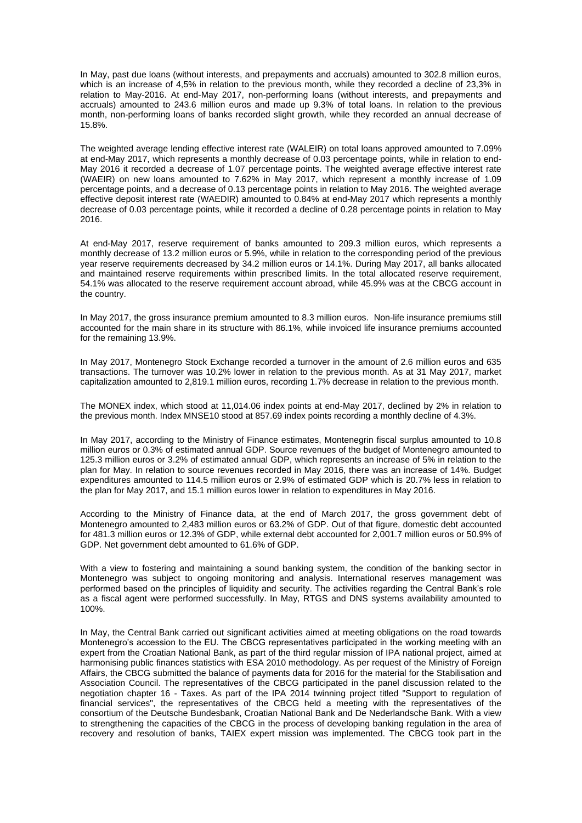In May, past due loans (without interests, and prepayments and accruals) amounted to 302.8 million euros, which is an increase of 4,5% in relation to the previous month, while they recorded a decline of 23,3% in relation to May-2016. At end-May 2017, non-performing loans (without interests, and prepayments and accruals) amounted to 243.6 million euros and made up 9.3% of total loans. In relation to the previous month, non-performing loans of banks recorded slight growth, while they recorded an annual decrease of 15.8%.

The weighted average lending effective interest rate (WALEIR) on total loans approved amounted to 7.09% at end-May 2017, which represents a monthly decrease of 0.03 percentage points, while in relation to end-May 2016 it recorded a decrease of 1.07 percentage points. The weighted average effective interest rate (WAEIR) on new loans amounted to 7.62% in May 2017, which represent a monthly increase of 1.09 percentage points, and a decrease of 0.13 percentage points in relation to May 2016. The weighted average effective deposit interest rate (WAEDIR) amounted to 0.84% at end-May 2017 which represents a monthly decrease of 0.03 percentage points, while it recorded a decline of 0.28 percentage points in relation to May 2016.

At end-May 2017, reserve requirement of banks amounted to 209.3 million euros, which represents a monthly decrease of 13.2 million euros or 5.9%, while in relation to the corresponding period of the previous year reserve requirements decreased by 34.2 million euros or 14.1%. During May 2017, all banks allocated and maintained reserve requirements within prescribed limits. In the total allocated reserve requirement, 54.1% was allocated to the reserve requirement account abroad, while 45.9% was at the CBCG account in the country.

In May 2017, the gross insurance premium amounted to 8.3 million euros. Non-life insurance premiums still accounted for the main share in its structure with 86.1%, while invoiced life insurance premiums accounted for the remaining 13.9%.

In May 2017, Montenegro Stock Exchange recorded a turnover in the amount of 2.6 million euros and 635 transactions. The turnover was 10.2% lower in relation to the previous month. As at 31 May 2017, market capitalization amounted to 2,819.1 million euros, recording 1.7% decrease in relation to the previous month.

The MONEX index, which stood at 11,014.06 index points at end-May 2017, declined by 2% in relation to the previous month. Index MNSE10 stood at 857.69 index points recording a monthly decline of 4.3%.

In May 2017, according to the Ministry of Finance estimates, Montenegrin fiscal surplus amounted to 10.8 million euros or 0.3% of estimated annual GDP. Source revenues of the budget of Montenegro amounted to 125.3 million euros or 3.2% of estimated annual GDP, which represents an increase of 5% in relation to the plan for May. In relation to source revenues recorded in May 2016, there was an increase of 14%. Budget expenditures amounted to 114.5 million euros or 2.9% of estimated GDP which is 20.7% less in relation to the plan for May 2017, and 15.1 million euros lower in relation to expenditures in May 2016.

According to the Ministry of Finance data, at the end of March 2017, the gross government debt of Montenegro amounted to 2,483 million euros or 63.2% of GDP. Out of that figure, domestic debt accounted for 481.3 million euros or 12.3% of GDP, while external debt accounted for 2,001.7 million euros or 50.9% of GDP. Net government debt amounted to 61.6% of GDP.

With a view to fostering and maintaining a sound banking system, the condition of the banking sector in Montenegro was subject to ongoing monitoring and analysis. International reserves management was performed based on the principles of liquidity and security. The activities regarding the Central Bank's role as a fiscal agent were performed successfully. In May, RTGS and DNS systems availability amounted to 100%.

In May, the Central Bank carried out significant activities aimed at meeting obligations on the road towards Montenegro's accession to the EU. The CBCG representatives participated in the working meeting with an expert from the Croatian National Bank, as part of the third regular mission of IPA national project, aimed at harmonising public finances statistics with ESA 2010 methodology. As per request of the Ministry of Foreign Affairs, the CBCG submitted the balance of payments data for 2016 for the material for the Stabilisation and Association Council. The representatives of the CBCG participated in the panel discussion related to the negotiation chapter 16 - Taxes. As part of the IPA 2014 twinning project titled "Support to regulation of financial services", the representatives of the CBCG held a meeting with the representatives of the consortium of the Deutsche Bundesbank, Croatian National Bank and De Nederlandsche Bank. With a view to strengthening the capacities of the CBCG in the process of developing banking regulation in the area of recovery and resolution of banks, TAIEX expert mission was implemented. The CBCG took part in the